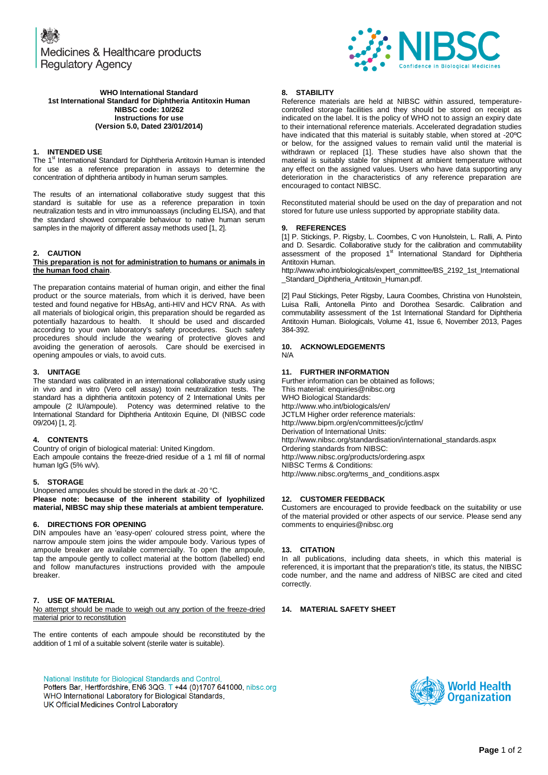Medicines & Healthcare products **Regulatory Agency** 



#### **WHO International Standard 1st International Standard for Diphtheria Antitoxin Human NIBSC code: 10/262 Instructions for use (Version 5.0, Dated 23/01/2014)**

### **1. INTENDED USE**

The  $1<sup>st</sup>$  International Standard for Diphtheria Antitoxin Human is intended for use as a reference preparation in assays to determine the concentration of diphtheria antibody in human serum samples.

The results of an international collaborative study suggest that this standard is suitable for use as a reference preparation in toxin neutralization tests and in vitro immunoassays (including ELISA), and that the standard showed comparable behaviour to native human serum samples in the majority of different assay methods used [1, 2].

## **2. CAUTION**

#### **This preparation is not for administration to humans or animals in the human food chain**.

The preparation contains material of human origin, and either the final product or the source materials, from which it is derived, have been tested and found negative for HBsAg, anti-HIV and HCV RNA. As with all materials of biological origin, this preparation should be regarded as potentially hazardous to health. It should be used and discarded according to your own laboratory's safety procedures. Such safety procedures should include the wearing of protective gloves and avoiding the generation of aerosols. Care should be exercised in opening ampoules or vials, to avoid cuts.

#### **3. UNITAGE**

The standard was calibrated in an international collaborative study using in vivo and in vitro (Vero cell assay) toxin neutralization tests. The standard has a diphtheria antitoxin potency of 2 International Units per ampoule (2 IU/ampoule). Potency was determined relative to the International Standard for Diphtheria Antitoxin Equine, DI (NIBSC code 09/204) [1, 2].

# **4. CONTENTS**

Country of origin of biological material: United Kingdom. Each ampoule contains the freeze-dried residue of a 1 ml fill of normal human IgG (5% w/v).

#### **5. STORAGE**

Unopened ampoules should be stored in the dark at -20 °C. **Please note: because of the inherent stability of lyophilized material, NIBSC may ship these materials at ambient temperature.**

#### **6. DIRECTIONS FOR OPENING**

DIN ampoules have an 'easy-open' coloured stress point, where the narrow ampoule stem joins the wider ampoule body. Various types of ampoule breaker are available commercially. To open the ampoule, tap the ampoule gently to collect material at the bottom (labelled) end and follow manufactures instructions provided with the ampoule breaker.

# **7. USE OF MATERIAL**

No attempt should be made to weigh out any portion of the freeze-dried material prior to reconstitution

The entire contents of each ampoule should be reconstituted by the addition of 1 ml of a suitable solvent (sterile water is suitable).

National Institute for Biological Standards and Control, Potters Bar, Hertfordshire, EN6 3QG. T +44 (0)1707 641000, nibsc.org WHO International Laboratory for Biological Standards, UK Official Medicines Control Laboratory

## **8. STABILITY**

Reference materials are held at NIBSC within assured, temperaturecontrolled storage facilities and they should be stored on receipt as indicated on the label. It is the policy of WHO not to assign an expiry date to their international reference materials. Accelerated degradation studies have indicated that this material is suitably stable, when stored at -20ºC or below, for the assigned values to remain valid until the material is withdrawn or replaced [1]. These studies have also shown that the material is suitably stable for shipment at ambient temperature without any effect on the assigned values. Users who have data supporting any deterioration in the characteristics of any reference preparation are encouraged to contact NIBSC.

Reconstituted material should be used on the day of preparation and not stored for future use unless supported by appropriate stability data.

## **9. REFERENCES**

[1] P. Stickings, P. Rigsby, L. Coombes, C von Hunolstein, L. Ralli, A. Pinto and D. Sesardic. Collaborative study for the calibration and commutability assessment of the proposed 1<sup>st</sup> International Standard for Diphtheria Antitoxin Human.

http://www.who.int/biologicals/expert\_committee/BS\_2192\_1st\_International Standard Diphtheria Antitoxin Human.pdf.

[2] Paul Stickings, Peter Rigsby, Laura Coombes, Christina von Hunolstein, Luisa Ralli, Antonella Pinto and Dorothea Sesardic. Calibration and commutability assessment of the 1st International Standard for Diphtheria Antitoxin Human. Biologicals, Volume 41, Issue 6, November 2013, Pages 384-392.

#### **10. ACKNOWLEDGEMENTS** N/A

# **11. FURTHER INFORMATION**

Further information can be obtained as follows; This material[: enquiries@nibsc.org](mailto:enquiries@nibsc.org) WHO Biological Standards: <http://www.who.int/biologicals/en/> JCTLM Higher order reference materials: <http://www.bipm.org/en/committees/jc/jctlm/> Derivation of International Units: [http://www.nibsc.org/standardisation/international\\_standards.aspx](http://www.nibsc.org/standardisation/international_standards.aspx) Ordering standards from NIBSC: <http://www.nibsc.org/products/ordering.aspx> NIBSC Terms & Conditions: [http://www.nibsc.org/terms\\_and\\_conditions.aspx](http://www.nibsc.ac.uk/terms_and_conditions.aspx)

## **12. CUSTOMER FEEDBACK**

Customers are encouraged to provide feedback on the suitability or use of the material provided or other aspects of our service. Please send any comments t[o enquiries@nibsc.org](mailto:enquiries@nibsc.org)

## **13. CITATION**

In all publications, including data sheets, in which this material is referenced, it is important that the preparation's title, its status, the NIBSC code number, and the name and address of NIBSC are cited and cited correctly.

# **14. MATERIAL SAFETY SHEET**